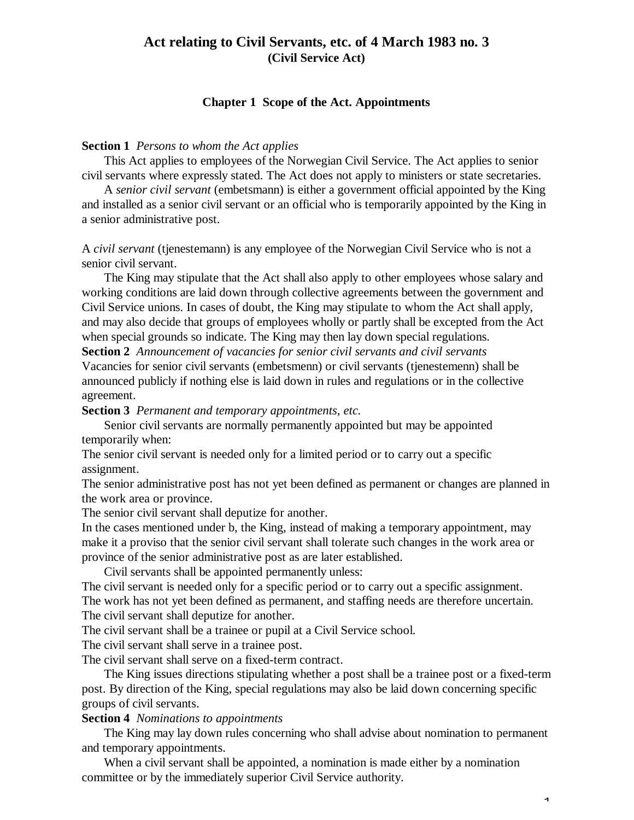# **Act relating to Civil Servants, etc. of 4 March 1983 no. 3 (Civil Service Act)**

## **Chapter 1 Scope of the Act. Appointments**

### **Section 1** *Persons to whom the Act applies*

This Act applies to employees of the Norwegian Civil Service. The Act applies to senior civil servants where expressly stated. The Act does not apply to ministers or state secretaries.

A *senior civil servant* (embetsmann) is either a government official appointed by the King and installed as a senior civil servant or an official who is temporarily appointed by the King in a senior administrative post.

A *civil servant* (tjenestemann) is any employee of the Norwegian Civil Service who is not a senior civil servant.

The King may stipulate that the Act shall also apply to other employees whose salary and working conditions are laid down through collective agreements between the government and Civil Service unions. In cases of doubt, the King may stipulate to whom the Act shall apply, and may also decide that groups of employees wholly or partly shall be excepted from the Act when special grounds so indicate. The King may then lay down special regulations.

**Section 2** *Announcement of vacancies for senior civil servants and civil servants*

Vacancies for senior civil servants (embetsmenn) or civil servants (tjenestemenn) shall be announced publicly if nothing else is laid down in rules and regulations or in the collective agreement.

**Section 3** *Permanent and temporary appointments, etc.*

Senior civil servants are normally permanently appointed but may be appointed temporarily when:

The senior civil servant is needed only for a limited period or to carry out a specific assignment.

The senior administrative post has not yet been defined as permanent or changes are planned in the work area or province.

The senior civil servant shall deputize for another.

In the cases mentioned under b, the King, instead of making a temporary appointment, may make it a proviso that the senior civil servant shall tolerate such changes in the work area or province of the senior administrative post as are later established.

Civil servants shall be appointed permanently unless:

The civil servant is needed only for a specific period or to carry out a specific assignment. The work has not yet been defined as permanent, and staffing needs are therefore uncertain. The civil servant shall deputize for another.

The civil servant shall be a trainee or pupil at a Civil Service school.

The civil servant shall serve in a trainee post.

The civil servant shall serve on a fixed-term contract.

The King issues directions stipulating whether a post shall be a trainee post or a fixed-term post. By direction of the King, special regulations may also be laid down concerning specific groups of civil servants.

**Section 4** *Nominations to appointments*

The King may lay down rules concerning who shall advise about nomination to permanent and temporary appointments.

When a civil servant shall be appointed, a nomination is made either by a nomination committee or by the immediately superior Civil Service authority.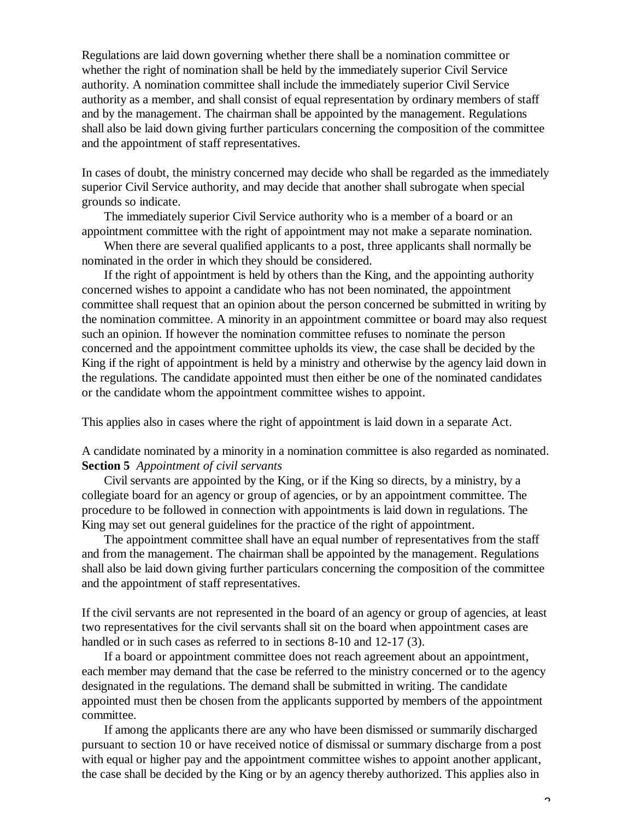Regulations are laid down governing whether there shall be a nomination committee or whether the right of nomination shall be held by the immediately superior Civil Service authority. A nomination committee shall include the immediately superior Civil Service authority as a member, and shall consist of equal representation by ordinary members of staff and by the management. The chairman shall be appointed by the management. Regulations shall also be laid down giving further particulars concerning the composition of the committee and the appointment of staff representatives.

In cases of doubt, the ministry concerned may decide who shall be regarded as the immediately superior Civil Service authority, and may decide that another shall subrogate when special grounds so indicate.

The immediately superior Civil Service authority who is a member of a board or an appointment committee with the right of appointment may not make a separate nomination.

When there are several qualified applicants to a post, three applicants shall normally be nominated in the order in which they should be considered.

If the right of appointment is held by others than the King, and the appointing authority concerned wishes to appoint a candidate who has not been nominated, the appointment committee shall request that an opinion about the person concerned be submitted in writing by the nomination committee. A minority in an appointment committee or board may also request such an opinion. If however the nomination committee refuses to nominate the person concerned and the appointment committee upholds its view, the case shall be decided by the King if the right of appointment is held by a ministry and otherwise by the agency laid down in the regulations. The candidate appointed must then either be one of the nominated candidates or the candidate whom the appointment committee wishes to appoint.

This applies also in cases where the right of appointment is laid down in a separate Act.

A candidate nominated by a minority in a nomination committee is also regarded as nominated. **Section 5** *Appointment of civil servants*

Civil servants are appointed by the King, or if the King so directs, by a ministry, by a collegiate board for an agency or group of agencies, or by an appointment committee. The procedure to be followed in connection with appointments is laid down in regulations. The King may set out general guidelines for the practice of the right of appointment.

The appointment committee shall have an equal number of representatives from the staff and from the management. The chairman shall be appointed by the management. Regulations shall also be laid down giving further particulars concerning the composition of the committee and the appointment of staff representatives.

If the civil servants are not represented in the board of an agency or group of agencies, at least two representatives for the civil servants shall sit on the board when appointment cases are handled or in such cases as referred to in sections 8-10 and 12-17 (3).

If a board or appointment committee does not reach agreement about an appointment, each member may demand that the case be referred to the ministry concerned or to the agency designated in the regulations. The demand shall be submitted in writing. The candidate appointed must then be chosen from the applicants supported by members of the appointment committee.

If among the applicants there are any who have been dismissed or summarily discharged pursuant to section 10 or have received notice of dismissal or summary discharge from a post with equal or higher pay and the appointment committee wishes to appoint another applicant, the case shall be decided by the King or by an agency thereby authorized. This applies also in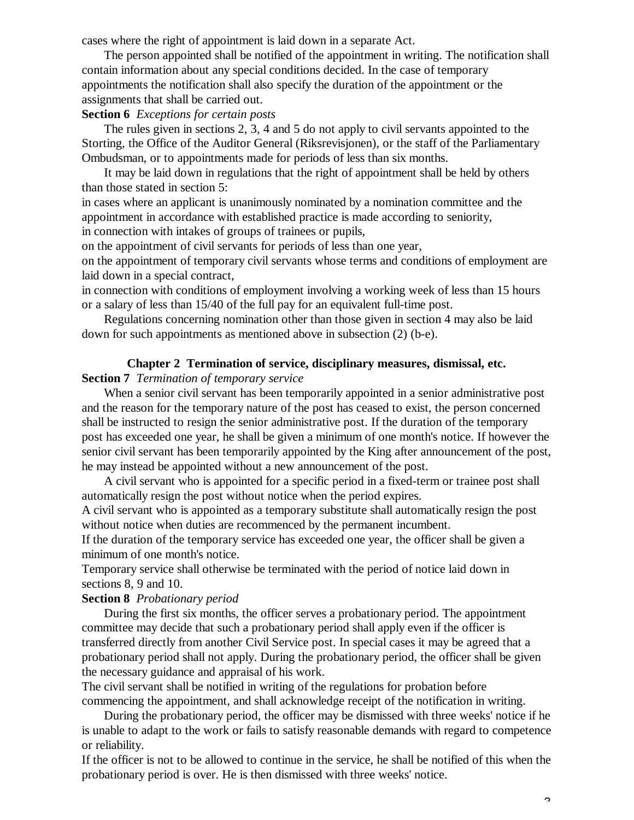cases where the right of appointment is laid down in a separate Act.

The person appointed shall be notified of the appointment in writing. The notification shall contain information about any special conditions decided. In the case of temporary appointments the notification shall also specify the duration of the appointment or the assignments that shall be carried out.

## **Section 6** *Exceptions for certain posts*

The rules given in sections 2, 3, 4 and 5 do not apply to civil servants appointed to the Storting, the Office of the Auditor General (Riksrevisjonen), or the staff of the Parliamentary Ombudsman, or to appointments made for periods of less than six months.

It may be laid down in regulations that the right of appointment shall be held by others than those stated in section 5:

in cases where an applicant is unanimously nominated by a nomination committee and the appointment in accordance with established practice is made according to seniority, in connection with intakes of groups of trainees or pupils,

on the appointment of civil servants for periods of less than one year,

on the appointment of temporary civil servants whose terms and conditions of employment are laid down in a special contract,

in connection with conditions of employment involving a working week of less than 15 hours or a salary of less than 15/40 of the full pay for an equivalent full-time post.

Regulations concerning nomination other than those given in section 4 may also be laid down for such appointments as mentioned above in subsection (2) (b-e).

## **Chapter 2 Termination of service, disciplinary measures, dismissal, etc.**

## **Section 7** *Termination of temporary service*

When a senior civil servant has been temporarily appointed in a senior administrative post and the reason for the temporary nature of the post has ceased to exist, the person concerned shall be instructed to resign the senior administrative post. If the duration of the temporary post has exceeded one year, he shall be given a minimum of one month's notice. If however the senior civil servant has been temporarily appointed by the King after announcement of the post, he may instead be appointed without a new announcement of the post.

A civil servant who is appointed for a specific period in a fixed-term or trainee post shall automatically resign the post without notice when the period expires.

A civil servant who is appointed as a temporary substitute shall automatically resign the post without notice when duties are recommenced by the permanent incumbent.

If the duration of the temporary service has exceeded one year, the officer shall be given a minimum of one month's notice.

Temporary service shall otherwise be terminated with the period of notice laid down in sections 8, 9 and 10.

## **Section 8** *Probationary period*

During the first six months, the officer serves a probationary period. The appointment committee may decide that such a probationary period shall apply even if the officer is transferred directly from another Civil Service post. In special cases it may be agreed that a probationary period shall not apply. During the probationary period, the officer shall be given the necessary guidance and appraisal of his work.

The civil servant shall be notified in writing of the regulations for probation before commencing the appointment, and shall acknowledge receipt of the notification in writing.

During the probationary period, the officer may be dismissed with three weeks' notice if he is unable to adapt to the work or fails to satisfy reasonable demands with regard to competence or reliability.

If the officer is not to be allowed to continue in the service, he shall be notified of this when the probationary period is over. He is then dismissed with three weeks' notice.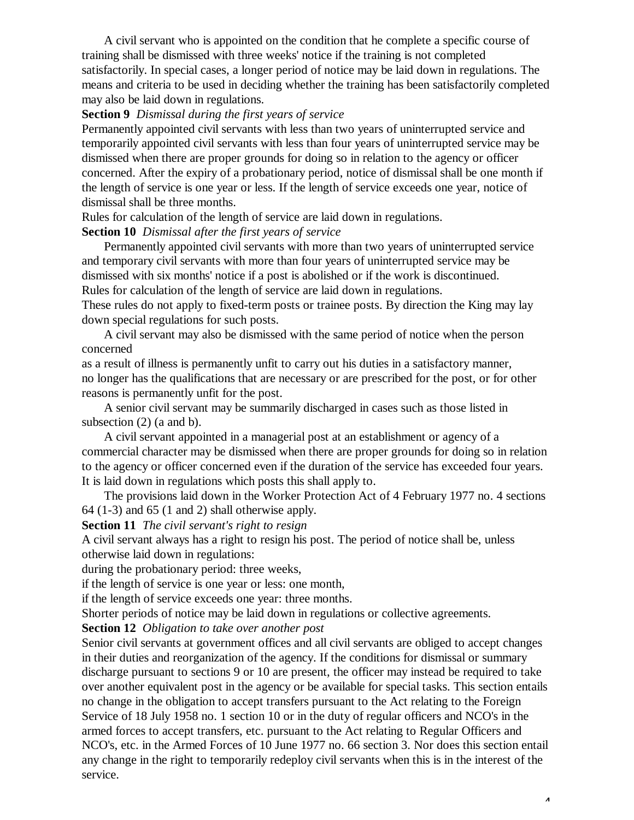A civil servant who is appointed on the condition that he complete a specific course of training shall be dismissed with three weeks' notice if the training is not completed satisfactorily. In special cases, a longer period of notice may be laid down in regulations. The means and criteria to be used in deciding whether the training has been satisfactorily completed may also be laid down in regulations.

### **Section 9** *Dismissal during the first years of service*

Permanently appointed civil servants with less than two years of uninterrupted service and temporarily appointed civil servants with less than four years of uninterrupted service may be dismissed when there are proper grounds for doing so in relation to the agency or officer concerned. After the expiry of a probationary period, notice of dismissal shall be one month if the length of service is one year or less. If the length of service exceeds one year, notice of dismissal shall be three months.

Rules for calculation of the length of service are laid down in regulations.

## **Section 10** *Dismissal after the first years of service*

Permanently appointed civil servants with more than two years of uninterrupted service and temporary civil servants with more than four years of uninterrupted service may be dismissed with six months' notice if a post is abolished or if the work is discontinued. Rules for calculation of the length of service are laid down in regulations.

These rules do not apply to fixed-term posts or trainee posts. By direction the King may lay down special regulations for such posts.

A civil servant may also be dismissed with the same period of notice when the person concerned

as a result of illness is permanently unfit to carry out his duties in a satisfactory manner, no longer has the qualifications that are necessary or are prescribed for the post, or for other reasons is permanently unfit for the post.

A senior civil servant may be summarily discharged in cases such as those listed in subsection (2) (a and b).

A civil servant appointed in a managerial post at an establishment or agency of a commercial character may be dismissed when there are proper grounds for doing so in relation to the agency or officer concerned even if the duration of the service has exceeded four years. It is laid down in regulations which posts this shall apply to.

The provisions laid down in the Worker Protection Act of 4 February 1977 no. 4 sections  $64$  (1-3) and  $65$  (1 and 2) shall otherwise apply.

**Section 11** *The civil servant's right to resign*

A civil servant always has a right to resign his post. The period of notice shall be, unless otherwise laid down in regulations:

during the probationary period: three weeks,

if the length of service is one year or less: one month,

if the length of service exceeds one year: three months.

Shorter periods of notice may be laid down in regulations or collective agreements.

#### **Section 12** *Obligation to take over another post*

Senior civil servants at government offices and all civil servants are obliged to accept changes in their duties and reorganization of the agency. If the conditions for dismissal or summary discharge pursuant to sections 9 or 10 are present, the officer may instead be required to take over another equivalent post in the agency or be available for special tasks. This section entails no change in the obligation to accept transfers pursuant to the Act relating to the Foreign Service of 18 July 1958 no. 1 section 10 or in the duty of regular officers and NCO's in the armed forces to accept transfers, etc. pursuant to the Act relating to Regular Officers and NCO's, etc. in the Armed Forces of 10 June 1977 no. 66 section 3. Nor does this section entail any change in the right to temporarily redeploy civil servants when this is in the interest of the service.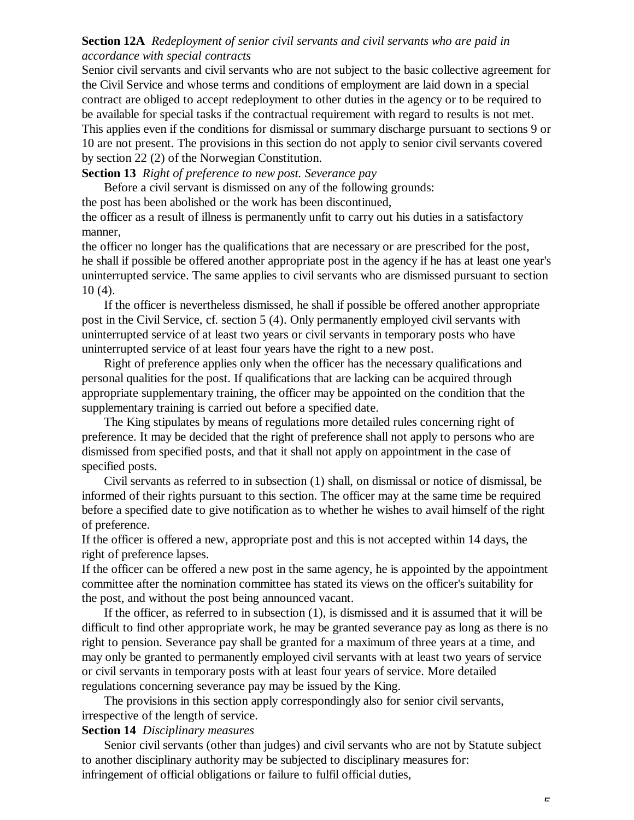## **Section 12A** *Redeployment of senior civil servants and civil servants who are paid in accordance with special contracts*

Senior civil servants and civil servants who are not subject to the basic collective agreement for the Civil Service and whose terms and conditions of employment are laid down in a special contract are obliged to accept redeployment to other duties in the agency or to be required to be available for special tasks if the contractual requirement with regard to results is not met. This applies even if the conditions for dismissal or summary discharge pursuant to sections 9 or 10 are not present. The provisions in this section do not apply to senior civil servants covered by section 22 (2) of the Norwegian Constitution.

**Section 13** *Right of preference to new post. Severance pay*

Before a civil servant is dismissed on any of the following grounds:

the post has been abolished or the work has been discontinued,

the officer as a result of illness is permanently unfit to carry out his duties in a satisfactory manner,

the officer no longer has the qualifications that are necessary or are prescribed for the post, he shall if possible be offered another appropriate post in the agency if he has at least one year's uninterrupted service. The same applies to civil servants who are dismissed pursuant to section 10 (4).

If the officer is nevertheless dismissed, he shall if possible be offered another appropriate post in the Civil Service, cf. section 5 (4). Only permanently employed civil servants with uninterrupted service of at least two years or civil servants in temporary posts who have uninterrupted service of at least four years have the right to a new post.

Right of preference applies only when the officer has the necessary qualifications and personal qualities for the post. If qualifications that are lacking can be acquired through appropriate supplementary training, the officer may be appointed on the condition that the supplementary training is carried out before a specified date.

The King stipulates by means of regulations more detailed rules concerning right of preference. It may be decided that the right of preference shall not apply to persons who are dismissed from specified posts, and that it shall not apply on appointment in the case of specified posts.

Civil servants as referred to in subsection (1) shall, on dismissal or notice of dismissal, be informed of their rights pursuant to this section. The officer may at the same time be required before a specified date to give notification as to whether he wishes to avail himself of the right of preference.

If the officer is offered a new, appropriate post and this is not accepted within 14 days, the right of preference lapses.

If the officer can be offered a new post in the same agency, he is appointed by the appointment committee after the nomination committee has stated its views on the officer's suitability for the post, and without the post being announced vacant.

If the officer, as referred to in subsection (1), is dismissed and it is assumed that it will be difficult to find other appropriate work, he may be granted severance pay as long as there is no right to pension. Severance pay shall be granted for a maximum of three years at a time, and may only be granted to permanently employed civil servants with at least two years of service or civil servants in temporary posts with at least four years of service. More detailed regulations concerning severance pay may be issued by the King.

The provisions in this section apply correspondingly also for senior civil servants, irrespective of the length of service.

## **Section 14** *Disciplinary measures*

Senior civil servants (other than judges) and civil servants who are not by Statute subject to another disciplinary authority may be subjected to disciplinary measures for: infringement of official obligations or failure to fulfil official duties,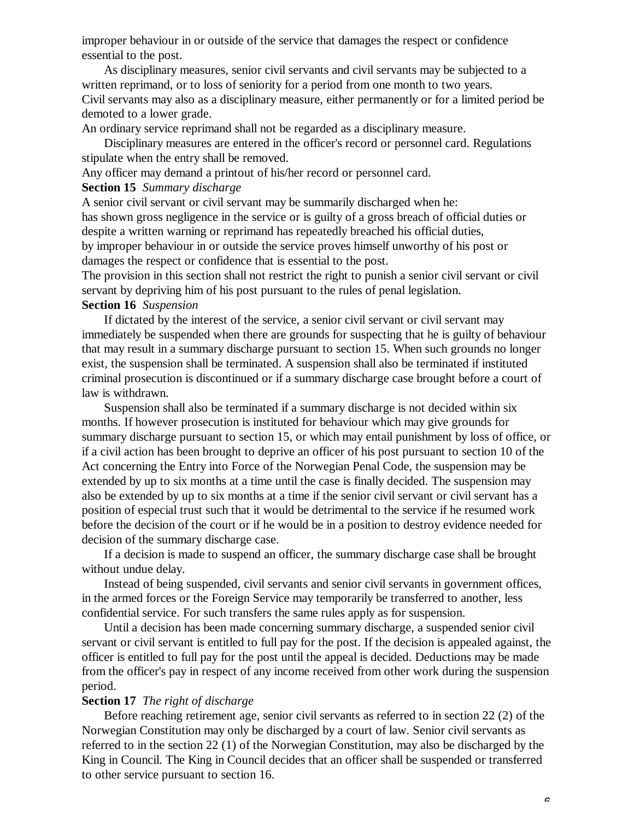improper behaviour in or outside of the service that damages the respect or confidence essential to the post.

As disciplinary measures, senior civil servants and civil servants may be subjected to a written reprimand, or to loss of seniority for a period from one month to two years. Civil servants may also as a disciplinary measure, either permanently or for a limited period be demoted to a lower grade.

An ordinary service reprimand shall not be regarded as a disciplinary measure.

Disciplinary measures are entered in the officer's record or personnel card. Regulations stipulate when the entry shall be removed.

Any officer may demand a printout of his/her record or personnel card.

**Section 15** *Summary discharge*

A senior civil servant or civil servant may be summarily discharged when he: has shown gross negligence in the service or is guilty of a gross breach of official duties or despite a written warning or reprimand has repeatedly breached his official duties, by improper behaviour in or outside the service proves himself unworthy of his post or damages the respect or confidence that is essential to the post.

The provision in this section shall not restrict the right to punish a senior civil servant or civil servant by depriving him of his post pursuant to the rules of penal legislation. **Section 16** *Suspension*

If dictated by the interest of the service, a senior civil servant or civil servant may immediately be suspended when there are grounds for suspecting that he is guilty of behaviour that may result in a summary discharge pursuant to section 15. When such grounds no longer exist, the suspension shall be terminated. A suspension shall also be terminated if instituted criminal prosecution is discontinued or if a summary discharge case brought before a court of law is withdrawn.

Suspension shall also be terminated if a summary discharge is not decided within six months. If however prosecution is instituted for behaviour which may give grounds for summary discharge pursuant to section 15, or which may entail punishment by loss of office, or if a civil action has been brought to deprive an officer of his post pursuant to section 10 of the Act concerning the Entry into Force of the Norwegian Penal Code, the suspension may be extended by up to six months at a time until the case is finally decided. The suspension may also be extended by up to six months at a time if the senior civil servant or civil servant has a position of especial trust such that it would be detrimental to the service if he resumed work before the decision of the court or if he would be in a position to destroy evidence needed for decision of the summary discharge case.

If a decision is made to suspend an officer, the summary discharge case shall be brought without undue delay.

Instead of being suspended, civil servants and senior civil servants in government offices, in the armed forces or the Foreign Service may temporarily be transferred to another, less confidential service. For such transfers the same rules apply as for suspension.

Until a decision has been made concerning summary discharge, a suspended senior civil servant or civil servant is entitled to full pay for the post. If the decision is appealed against, the officer is entitled to full pay for the post until the appeal is decided. Deductions may be made from the officer's pay in respect of any income received from other work during the suspension period.

## **Section 17** *The right of discharge*

Before reaching retirement age, senior civil servants as referred to in section 22 (2) of the Norwegian Constitution may only be discharged by a court of law. Senior civil servants as referred to in the section 22 (1) of the Norwegian Constitution, may also be discharged by the King in Council. The King in Council decides that an officer shall be suspended or transferred to other service pursuant to section 16.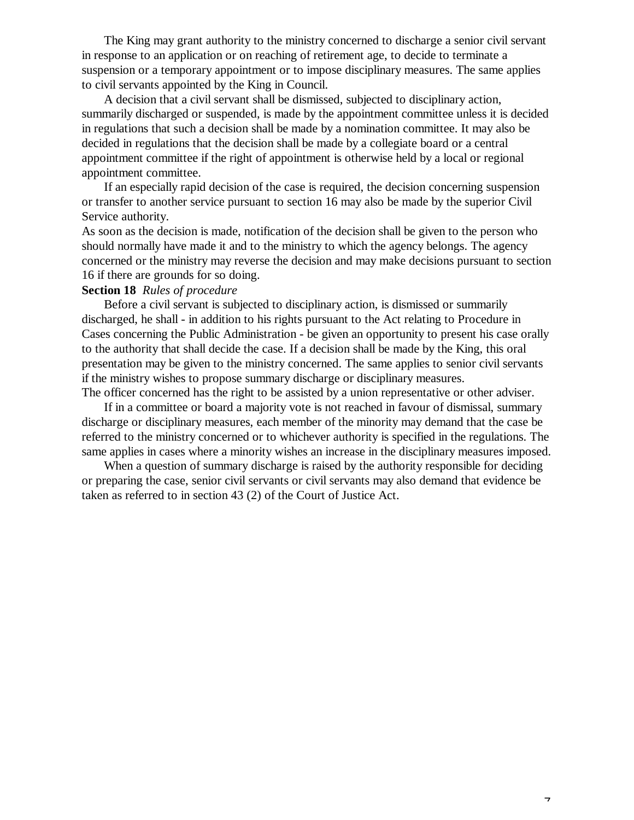The King may grant authority to the ministry concerned to discharge a senior civil servant in response to an application or on reaching of retirement age, to decide to terminate a suspension or a temporary appointment or to impose disciplinary measures. The same applies to civil servants appointed by the King in Council.

A decision that a civil servant shall be dismissed, subjected to disciplinary action, summarily discharged or suspended, is made by the appointment committee unless it is decided in regulations that such a decision shall be made by a nomination committee. It may also be decided in regulations that the decision shall be made by a collegiate board or a central appointment committee if the right of appointment is otherwise held by a local or regional appointment committee.

If an especially rapid decision of the case is required, the decision concerning suspension or transfer to another service pursuant to section 16 may also be made by the superior Civil Service authority.

As soon as the decision is made, notification of the decision shall be given to the person who should normally have made it and to the ministry to which the agency belongs. The agency concerned or the ministry may reverse the decision and may make decisions pursuant to section 16 if there are grounds for so doing.

#### **Section 18** *Rules of procedure*

Before a civil servant is subjected to disciplinary action, is dismissed or summarily discharged, he shall - in addition to his rights pursuant to the Act relating to Procedure in Cases concerning the Public Administration - be given an opportunity to present his case orally to the authority that shall decide the case. If a decision shall be made by the King, this oral presentation may be given to the ministry concerned. The same applies to senior civil servants if the ministry wishes to propose summary discharge or disciplinary measures.

The officer concerned has the right to be assisted by a union representative or other adviser. If in a committee or board a majority vote is not reached in favour of dismissal, summary discharge or disciplinary measures, each member of the minority may demand that the case be referred to the ministry concerned or to whichever authority is specified in the regulations. The same applies in cases where a minority wishes an increase in the disciplinary measures imposed.

When a question of summary discharge is raised by the authority responsible for deciding or preparing the case, senior civil servants or civil servants may also demand that evidence be taken as referred to in section 43 (2) of the Court of Justice Act.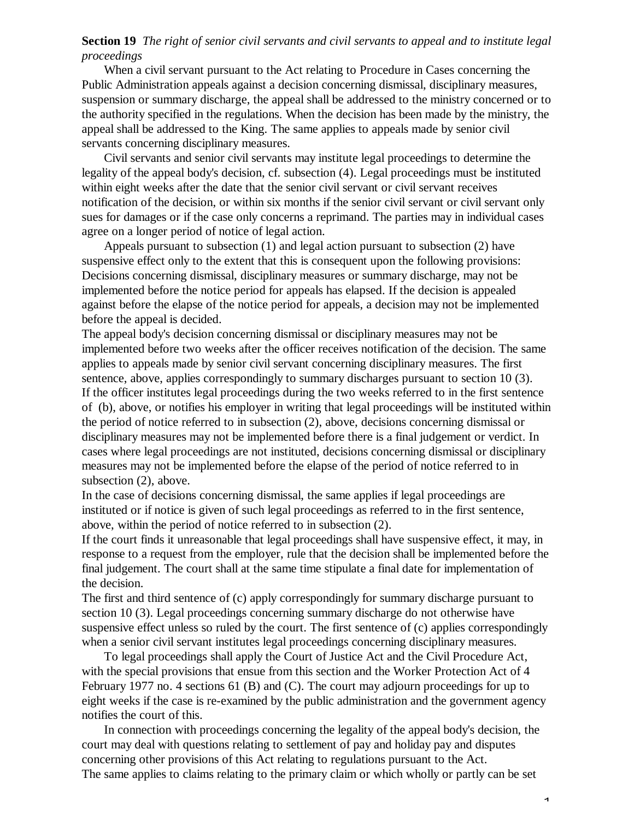## **Section 19** *The right of senior civil servants and civil servants to appeal and to institute legal proceedings*

When a civil servant pursuant to the Act relating to Procedure in Cases concerning the Public Administration appeals against a decision concerning dismissal, disciplinary measures, suspension or summary discharge, the appeal shall be addressed to the ministry concerned or to the authority specified in the regulations. When the decision has been made by the ministry, the appeal shall be addressed to the King. The same applies to appeals made by senior civil servants concerning disciplinary measures.

Civil servants and senior civil servants may institute legal proceedings to determine the legality of the appeal body's decision, cf. subsection (4). Legal proceedings must be instituted within eight weeks after the date that the senior civil servant or civil servant receives notification of the decision, or within six months if the senior civil servant or civil servant only sues for damages or if the case only concerns a reprimand. The parties may in individual cases agree on a longer period of notice of legal action.

Appeals pursuant to subsection (1) and legal action pursuant to subsection (2) have suspensive effect only to the extent that this is consequent upon the following provisions: Decisions concerning dismissal, disciplinary measures or summary discharge, may not be implemented before the notice period for appeals has elapsed. If the decision is appealed against before the elapse of the notice period for appeals, a decision may not be implemented before the appeal is decided.

The appeal body's decision concerning dismissal or disciplinary measures may not be implemented before two weeks after the officer receives notification of the decision. The same applies to appeals made by senior civil servant concerning disciplinary measures. The first sentence, above, applies correspondingly to summary discharges pursuant to section 10 (3). If the officer institutes legal proceedings during the two weeks referred to in the first sentence of (b), above, or notifies his employer in writing that legal proceedings will be instituted within the period of notice referred to in subsection (2), above, decisions concerning dismissal or disciplinary measures may not be implemented before there is a final judgement or verdict. In cases where legal proceedings are not instituted, decisions concerning dismissal or disciplinary measures may not be implemented before the elapse of the period of notice referred to in subsection (2), above.

In the case of decisions concerning dismissal, the same applies if legal proceedings are instituted or if notice is given of such legal proceedings as referred to in the first sentence, above, within the period of notice referred to in subsection (2).

If the court finds it unreasonable that legal proceedings shall have suspensive effect, it may, in response to a request from the employer, rule that the decision shall be implemented before the final judgement. The court shall at the same time stipulate a final date for implementation of the decision.

The first and third sentence of (c) apply correspondingly for summary discharge pursuant to section 10 (3). Legal proceedings concerning summary discharge do not otherwise have suspensive effect unless so ruled by the court. The first sentence of (c) applies correspondingly when a senior civil servant institutes legal proceedings concerning disciplinary measures.

To legal proceedings shall apply the Court of Justice Act and the Civil Procedure Act, with the special provisions that ensue from this section and the Worker Protection Act of 4 February 1977 no. 4 sections 61 (B) and (C). The court may adjourn proceedings for up to eight weeks if the case is re-examined by the public administration and the government agency notifies the court of this.

In connection with proceedings concerning the legality of the appeal body's decision, the court may deal with questions relating to settlement of pay and holiday pay and disputes concerning other provisions of this Act relating to regulations pursuant to the Act. The same applies to claims relating to the primary claim or which wholly or partly can be set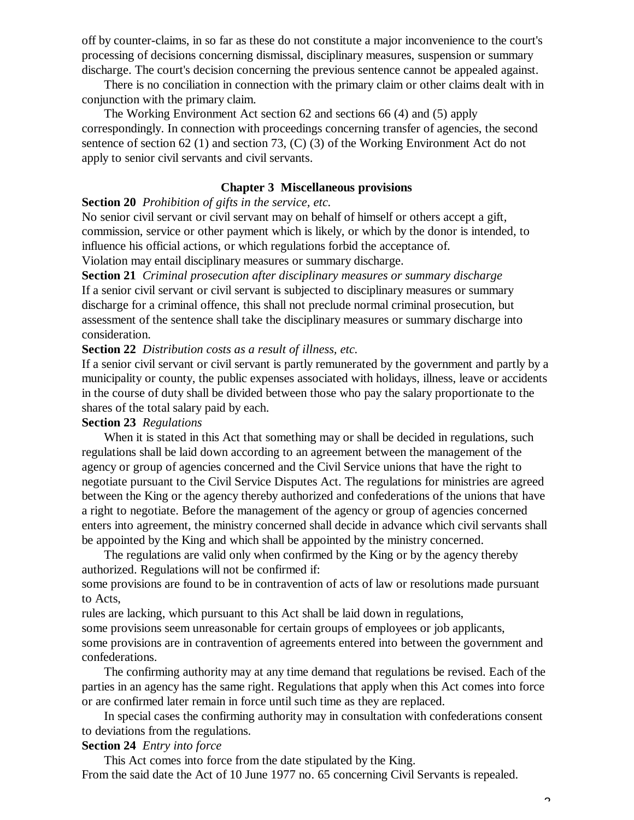off by counter-claims, in so far as these do not constitute a major inconvenience to the court's processing of decisions concerning dismissal, disciplinary measures, suspension or summary discharge. The court's decision concerning the previous sentence cannot be appealed against.

There is no conciliation in connection with the primary claim or other claims dealt with in conjunction with the primary claim.

The Working Environment Act section 62 and sections 66 (4) and (5) apply correspondingly. In connection with proceedings concerning transfer of agencies, the second sentence of section 62 (1) and section 73, (C) (3) of the Working Environment Act do not apply to senior civil servants and civil servants.

## **Chapter 3 Miscellaneous provisions**

**Section 20** *Prohibition of gifts in the service, etc.*

No senior civil servant or civil servant may on behalf of himself or others accept a gift, commission, service or other payment which is likely, or which by the donor is intended, to influence his official actions, or which regulations forbid the acceptance of.

Violation may entail disciplinary measures or summary discharge.

**Section 21** *Criminal prosecution after disciplinary measures or summary discharge* If a senior civil servant or civil servant is subjected to disciplinary measures or summary discharge for a criminal offence, this shall not preclude normal criminal prosecution, but assessment of the sentence shall take the disciplinary measures or summary discharge into consideration.

## **Section 22** *Distribution costs as a result of illness, etc.*

If a senior civil servant or civil servant is partly remunerated by the government and partly by a municipality or county, the public expenses associated with holidays, illness, leave or accidents in the course of duty shall be divided between those who pay the salary proportionate to the shares of the total salary paid by each.

## **Section 23** *Regulations*

When it is stated in this Act that something may or shall be decided in regulations, such regulations shall be laid down according to an agreement between the management of the agency or group of agencies concerned and the Civil Service unions that have the right to negotiate pursuant to the Civil Service Disputes Act. The regulations for ministries are agreed between the King or the agency thereby authorized and confederations of the unions that have a right to negotiate. Before the management of the agency or group of agencies concerned enters into agreement, the ministry concerned shall decide in advance which civil servants shall be appointed by the King and which shall be appointed by the ministry concerned.

The regulations are valid only when confirmed by the King or by the agency thereby authorized. Regulations will not be confirmed if:

some provisions are found to be in contravention of acts of law or resolutions made pursuant to Acts,

rules are lacking, which pursuant to this Act shall be laid down in regulations,

some provisions seem unreasonable for certain groups of employees or job applicants,

some provisions are in contravention of agreements entered into between the government and confederations.

The confirming authority may at any time demand that regulations be revised. Each of the parties in an agency has the same right. Regulations that apply when this Act comes into force or are confirmed later remain in force until such time as they are replaced.

In special cases the confirming authority may in consultation with confederations consent to deviations from the regulations.

## **Section 24** *Entry into force*

This Act comes into force from the date stipulated by the King. From the said date the Act of 10 June 1977 no. 65 concerning Civil Servants is repealed.